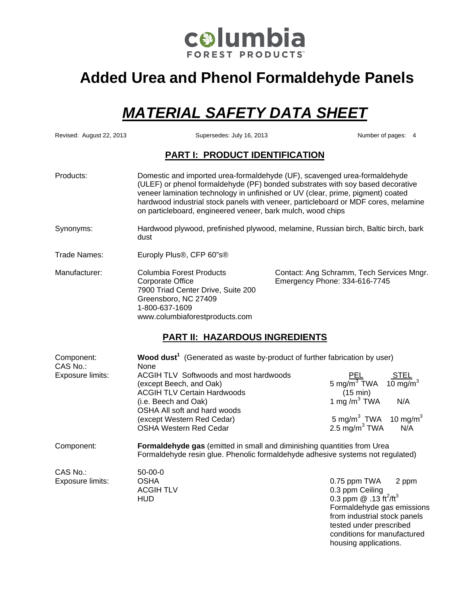

# **Added Urea and Phenol Formaldehyde Panels**

# *MATERIAL SAFETY DATA SHEET*

Revised: August 22, 2013 Supersedes: July 16, 2013 Number of pages: 4

#### **PART I: PRODUCT IDENTIFICATION**

| Products:     | on particleboard, engineered veneer, bark mulch, wood chips                                                                                                    | Domestic and imported urea-formaldehyde (UF), scavenged urea-formaldehyde<br>(ULEF) or phenol formaldehyde (PF) bonded substrates with soy based decorative<br>veneer lamination technology in unfinished or UV (clear, prime, pigment) coated<br>hardwood industrial stock panels with veneer, particleboard or MDF cores, melamine |
|---------------|----------------------------------------------------------------------------------------------------------------------------------------------------------------|--------------------------------------------------------------------------------------------------------------------------------------------------------------------------------------------------------------------------------------------------------------------------------------------------------------------------------------|
| Synonyms:     | dust                                                                                                                                                           | Hardwood plywood, prefinished plywood, melamine, Russian birch, Baltic birch, bark                                                                                                                                                                                                                                                   |
| Trade Names:  | Europly Plus®, CFP 60"s®                                                                                                                                       |                                                                                                                                                                                                                                                                                                                                      |
| Manufacturer: | Columbia Forest Products<br>Corporate Office<br>7900 Triad Center Drive, Suite 200<br>Greensboro, NC 27409<br>1-800-637-1609<br>www.columbiaforestproducts.com | Contact: Ang Schramm, Tech Services Mngr.<br>Emergency Phone: 334-616-7745                                                                                                                                                                                                                                                           |

#### **PART II: HAZARDOUS INGREDIENTS**

| None                                                              |                                                                                                                                                                                                          |                                                                                                                                                                                                                                                                                                          |
|-------------------------------------------------------------------|----------------------------------------------------------------------------------------------------------------------------------------------------------------------------------------------------------|----------------------------------------------------------------------------------------------------------------------------------------------------------------------------------------------------------------------------------------------------------------------------------------------------------|
| ACGIH TLV Softwoods and most hardwoods<br>(except Beech, and Oak) | $\frac{\text{PEL}}{\text{5 mg/m}^3}$ TWA $\frac{\text{STEL}}{10 \text{ mg/m}^3}$                                                                                                                         |                                                                                                                                                                                                                                                                                                          |
| (i.e. Beech and Oak)<br>OSHA All soft and hard woods              | 1 mg/m <sup>3</sup> TWA<br>N/A                                                                                                                                                                           |                                                                                                                                                                                                                                                                                                          |
| (except Western Red Cedar)<br><b>OSHA Western Red Cedar</b>       | 5 mg/m <sup>3</sup> TWA 10 mg/m <sup>3</sup><br>2.5 $mg/m3 TWA$<br>N/A                                                                                                                                   |                                                                                                                                                                                                                                                                                                          |
|                                                                   |                                                                                                                                                                                                          |                                                                                                                                                                                                                                                                                                          |
| $50 - 00 - 0$<br><b>OSHA</b><br><b>ACGIH TLV</b><br>HUD           | 0.75 ppm TWA 2 ppm<br>0.3 ppm Ceiling<br>0.3 ppm $@.13 \text{ ft}^2/\text{ft}^3$<br>Formaldehyde gas emissions<br>from industrial stock panels<br>tested under prescribed<br>conditions for manufactured |                                                                                                                                                                                                                                                                                                          |
|                                                                   | <b>ACGIH TLV Certain Hardwoods</b>                                                                                                                                                                       | Wood dust <sup>1</sup> (Generated as waste by-product of further fabrication by user)<br>$(15 \text{ min})$<br><b>Formaldehyde gas</b> (emitted in small and diminishing quantities from Urea<br>Formaldehyde resin glue. Phenolic formaldehyde adhesive systems not regulated)<br>housing applications. |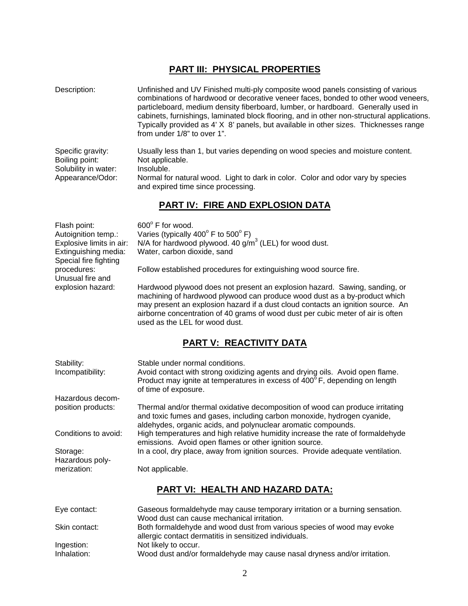## **PART III: PHYSICAL PROPERTIES**

| Description:                                                                    | Unfinished and UV Finished multi-ply composite wood panels consisting of various<br>combinations of hardwood or decorative veneer faces, bonded to other wood veneers,<br>particleboard, medium density fiberboard, lumber, or hardboard. Generally used in<br>cabinets, furnishings, laminated block flooring, and in other non-structural applications.<br>Typically provided as 4' X 8' panels, but available in other sizes. Thicknesses range<br>from under 1/8" to over 1". |
|---------------------------------------------------------------------------------|-----------------------------------------------------------------------------------------------------------------------------------------------------------------------------------------------------------------------------------------------------------------------------------------------------------------------------------------------------------------------------------------------------------------------------------------------------------------------------------|
| Specific gravity:<br>Boiling point:<br>Solubility in water:<br>Appearance/Odor: | Usually less than 1, but varies depending on wood species and moisture content.<br>Not applicable.<br>Insoluble.<br>Normal for natural wood. Light to dark in color. Color and odor vary by species<br>and expired time since processing.                                                                                                                                                                                                                                         |

# **PART IV: FIRE AND EXPLOSION DATA**

| Flash point:<br>Autoignition temp.:<br>Explosive limits in air:<br>Extinguishing media:<br>Special fire fighting<br>procedures:<br>Unusual fire and<br>explosion hazard: | 600° F for wood.<br>Varies (typically $400^{\circ}$ F to $500^{\circ}$ F)<br>N/A for hardwood plywood. 40 $g/m3$ (LEL) for wood dust.<br>Water, carbon dioxide, sand<br>Follow established procedures for extinguishing wood source fire.<br>Hardwood plywood does not present an explosion hazard. Sawing, sanding, or<br>machining of hardwood plywood can produce wood dust as a by-product which<br>may present an explosion hazard if a dust cloud contacts an ignition source. An<br>airborne concentration of 40 grams of wood dust per cubic meter of air is often<br>used as the LEL for wood dust. |
|--------------------------------------------------------------------------------------------------------------------------------------------------------------------------|--------------------------------------------------------------------------------------------------------------------------------------------------------------------------------------------------------------------------------------------------------------------------------------------------------------------------------------------------------------------------------------------------------------------------------------------------------------------------------------------------------------------------------------------------------------------------------------------------------------|
|                                                                                                                                                                          | <b>PART V: REACTIVITY DATA</b>                                                                                                                                                                                                                                                                                                                                                                                                                                                                                                                                                                               |
| Stability:<br>Incompatibility:                                                                                                                                           | Stable under normal conditions.<br>Avoid contact with strong oxidizing agents and drying oils. Avoid open flame.<br>Product may ignite at temperatures in excess of 400°F, depending on length<br>of time of exposure.                                                                                                                                                                                                                                                                                                                                                                                       |
| Hazardous decom-<br>position products:                                                                                                                                   | Thermal and/or thermal oxidative decomposition of wood can produce irritating<br>and toxic fumes and gases, including carbon monoxide, hydrogen cyanide,                                                                                                                                                                                                                                                                                                                                                                                                                                                     |

aldehydes, organic acids, and polynuclear aromatic compounds.<br>Conditions to avoid: High temperatures and high relative humidity increase the rate of

emissions. Avoid open flames or other ignition source.<br>Storage: ln a cool, dry place, away from ignition sources. Provid Hazardous polymerization: Not applicable.

# **PART VI: HEALTH AND HAZARD DATA:**

High temperatures and high relative humidity increase the rate of formaldehyde

In a cool, dry place, away from ignition sources. Provide adequate ventilation.

| Eye contact:  | Gaseous formaldehyde may cause temporary irritation or a burning sensation.<br>Wood dust can cause mechanical irritation.        |
|---------------|----------------------------------------------------------------------------------------------------------------------------------|
| Skin contact: | Both formaldehyde and wood dust from various species of wood may evoke<br>allergic contact dermatitis in sensitized individuals. |
| Ingestion:    | Not likely to occur.                                                                                                             |
| Inhalation:   | Wood dust and/or formaldehyde may cause nasal dryness and/or irritation.                                                         |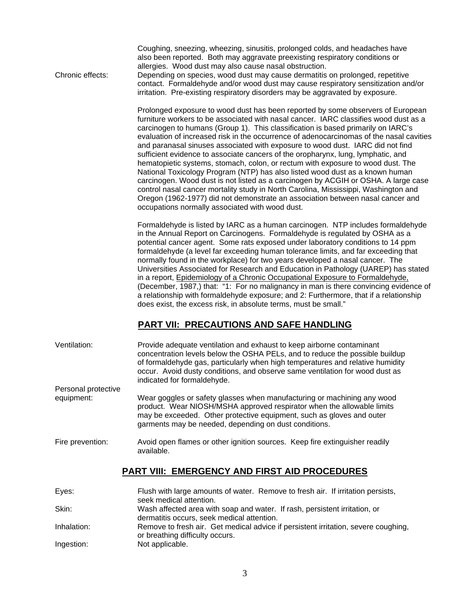Coughing, sneezing, wheezing, sinusitis, prolonged colds, and headaches have also been reported. Both may aggravate preexisting respiratory conditions or allergies. Wood dust may also cause nasal obstruction.

Chronic effects: Depending on species, wood dust may cause dermatitis on prolonged, repetitive contact. Formaldehyde and/or wood dust may cause respiratory sensitization and/or irritation. Pre-existing respiratory disorders may be aggravated by exposure.

> Prolonged exposure to wood dust has been reported by some observers of European furniture workers to be associated with nasal cancer. IARC classifies wood dust as a carcinogen to humans (Group 1). This classification is based primarily on IARC's evaluation of increased risk in the occurrence of adenocarcinomas of the nasal cavities and paranasal sinuses associated with exposure to wood dust. IARC did not find sufficient evidence to associate cancers of the oropharynx, lung, lymphatic, and hematopietic systems, stomach, colon, or rectum with exposure to wood dust. The National Toxicology Program (NTP) has also listed wood dust as a known human carcinogen. Wood dust is not listed as a carcinogen by ACGIH or OSHA. A large case control nasal cancer mortality study in North Carolina, Mississippi, Washington and Oregon (1962-1977) did not demonstrate an association between nasal cancer and occupations normally associated with wood dust.

> Formaldehyde is listed by IARC as a human carcinogen. NTP includes formaldehyde in the Annual Report on Carcinogens. Formaldehyde is regulated by OSHA as a potential cancer agent. Some rats exposed under laboratory conditions to 14 ppm formaldehyde (a level far exceeding human tolerance limits, and far exceeding that normally found in the workplace) for two years developed a nasal cancer. The Universities Associated for Research and Education in Pathology (UAREP) has stated in a report, Epidemiology of a Chronic Occupational Exposure to Formaldehyde, (December, 1987,) that: "1: For no malignancy in man is there convincing evidence of a relationship with formaldehyde exposure; and 2: Furthermore, that if a relationship does exist, the excess risk, in absolute terms, must be small."

## **PART VII: PRECAUTIONS AND SAFE HANDLING**

| Ventilation:        | Provide adequate ventilation and exhaust to keep airborne contaminant<br>concentration levels below the OSHA PELs, and to reduce the possible buildup<br>of formaldehyde gas, particularly when high temperatures and relative humidity<br>occur. Avoid dusty conditions, and observe same ventilation for wood dust as<br>indicated for formaldehyde. |
|---------------------|--------------------------------------------------------------------------------------------------------------------------------------------------------------------------------------------------------------------------------------------------------------------------------------------------------------------------------------------------------|
| Personal protective |                                                                                                                                                                                                                                                                                                                                                        |
| equipment:          | Wear goggles or safety glasses when manufacturing or machining any wood<br>product. Wear NIOSH/MSHA approved respirator when the allowable limits<br>may be exceeded. Other protective equipment, such as gloves and outer<br>garments may be needed, depending on dust conditions.                                                                    |
| Fire prevention:    | Avoid open flames or other ignition sources. Keep fire extinguisher readily<br>available.                                                                                                                                                                                                                                                              |
|                     | <b>PART VIII: EMERGENCY AND FIRST AID PROCEDURES</b>                                                                                                                                                                                                                                                                                                   |
| Eyes:               | Flush with large amounts of water. Remove to fresh air. If irritation persists,<br>seek medical attention.                                                                                                                                                                                                                                             |
| Skin <sup>.</sup>   | Wash affected area with soan and water. If rash, nersistent irritation, or                                                                                                                                                                                                                                                                             |

| <b>PRILLE</b> | <u>Washi ancolca area willi soap ana walch. In idon, persistent inilation, or</u>  |
|---------------|------------------------------------------------------------------------------------|
|               | dermatitis occurs, seek medical attention.                                         |
| Inhalation:   | Remove to fresh air. Get medical advice if persistent irritation, severe coughing, |
|               | or breathing difficulty occurs.                                                    |
| Ingestion:    | Not applicable.                                                                    |